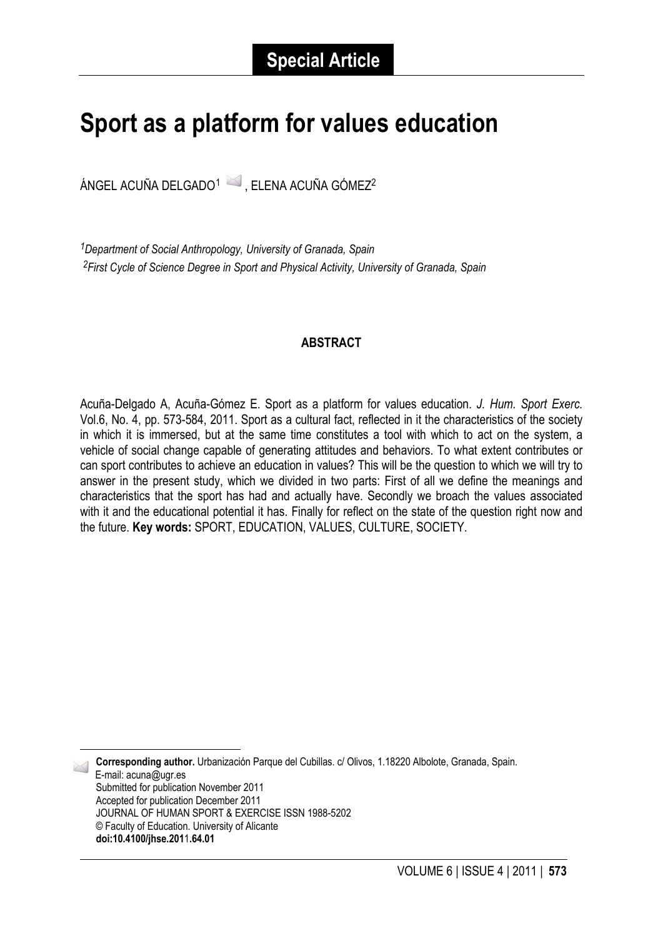# **Sport as a platform for values education**

ÁNGEL ACUÑA DELGADO<sup>[1](#page-0-0)</sup> , ELENA ACUÑA GÓMEZ<sup>2</sup>

*1Department of Social Anthropology, University of Granada, Spain 2First Cycle of Science Degree in Sport and Physical Activity, University of Granada, Spain*

# **ABSTRACT**

Acuña-Delgado A, Acuña-Gómez E. Sport as a platform for values education. *J. Hum. Sport Exerc.*  Vol.6, No. 4, pp. 573-584, 2011. Sport as a cultural fact, reflected in it the characteristics of the society in which it is immersed, but at the same time constitutes a tool with which to act on the system, a vehicle of social change capable of generating attitudes and behaviors. To what extent contributes or can sport contributes to achieve an education in values? This will be the question to which we will try to answer in the present study, which we divided in two parts: First of all we define the meanings and characteristics that the sport has had and actually have. Secondly we broach the values associated with it and the educational potential it has. Finally for reflect on the state of the question right now and the future. **Key words:** SPORT, EDUCATION, VALUES, CULTURE, SOCIETY.

**Corresponding author.** Urbanización Parque del Cubillas. c/ Olivos, 1.18220 Albolote, Granada, Spain. E-mail: acuna@ugr.es Submitted for publication November 2011 Accepted for publication December 2011 JOURNAL OF HUMAN SPORT & EXERCISE ISSN 1988-5202 © Faculty of Education. University of Alicante **doi:10.4100/jhse.201**1**.64.01**

<span id="page-0-0"></span>-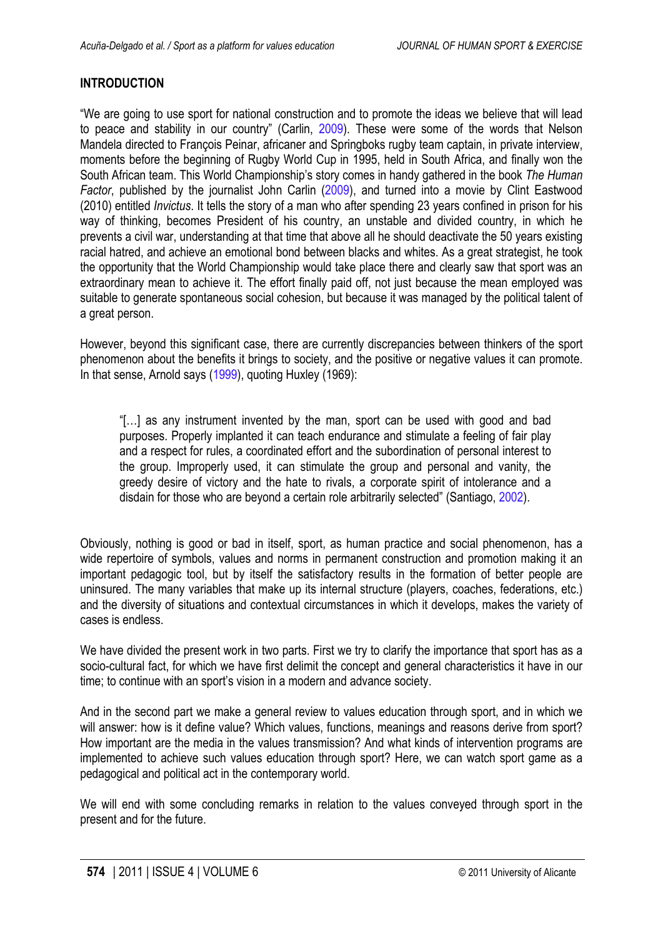# <span id="page-1-0"></span>**INTRODUCTION**

"We are going to use sport for national construction and to promote the ideas we believe that will lead to peace and stability in our country" (Carlin, [2009](#page-10-0)). These were some of the words that Nelson Mandela directed to François Peinar, africaner and Springboks rugby team captain, in private interview, moments before the beginning of Rugby World Cup in 1995, held in South Africa, and finally won the South African team. This World Championship's story comes in handy gathered in the book *The Human Factor*, published by the journalist John Carlin ([2009\)](#page-10-0), and turned into a movie by Clint Eastwood (2010) entitled *Invictus*. It tells the story of a man who after spending 23 years confined in prison for his way of thinking, becomes President of his country, an unstable and divided country, in which he prevents a civil war, understanding at that time that above all he should deactivate the 50 years existing racial hatred, and achieve an emotional bond between blacks and whites. As a great strategist, he took the opportunity that the World Championship would take place there and clearly saw that sport was an extraordinary mean to achieve it. The effort finally paid off, not just because the mean employed was suitable to generate spontaneous social cohesion, but because it was managed by the political talent of a great person.

However, beyond this significant case, there are currently discrepancies between thinkers of the sport phenomenon about the benefits it brings to society, and the positive or negative values it can promote. In that sense, Arnold says [\(1999](#page-10-0)), quoting Huxley (1969):

"[…] as any instrument invented by the man, sport can be used with good and bad purposes. Properly implanted it can teach endurance and stimulate a feeling of fair play and a respect for rules, a coordinated effort and the subordination of personal interest to the group. Improperly used, it can stimulate the group and personal and vanity, the greedy desire of victory and the hate to rivals, a corporate spirit of intolerance and a disdain for those who are beyond a certain role arbitrarily selected" (Santiago[, 2002](#page-11-0)).

Obviously, nothing is good or bad in itself, sport, as human practice and social phenomenon, has a wide repertoire of symbols, values and norms in permanent construction and promotion making it an important pedagogic tool, but by itself the satisfactory results in the formation of better people are uninsured. The many variables that make up its internal structure (players, coaches, federations, etc.) and the diversity of situations and contextual circumstances in which it develops, makes the variety of cases is endless.

We have divided the present work in two parts. First we try to clarify the importance that sport has as a socio-cultural fact, for which we have first delimit the concept and general characteristics it have in our time; to continue with an sport's vision in a modern and advance society.

And in the second part we make a general review to values education through sport, and in which we will answer: how is it define value? Which values, functions, meanings and reasons derive from sport? How important are the media in the values transmission? And what kinds of intervention programs are implemented to achieve such values education through sport? Here, we can watch sport game as a pedagogical and political act in the contemporary world.

We will end with some concluding remarks in relation to the values conveyed through sport in the present and for the future.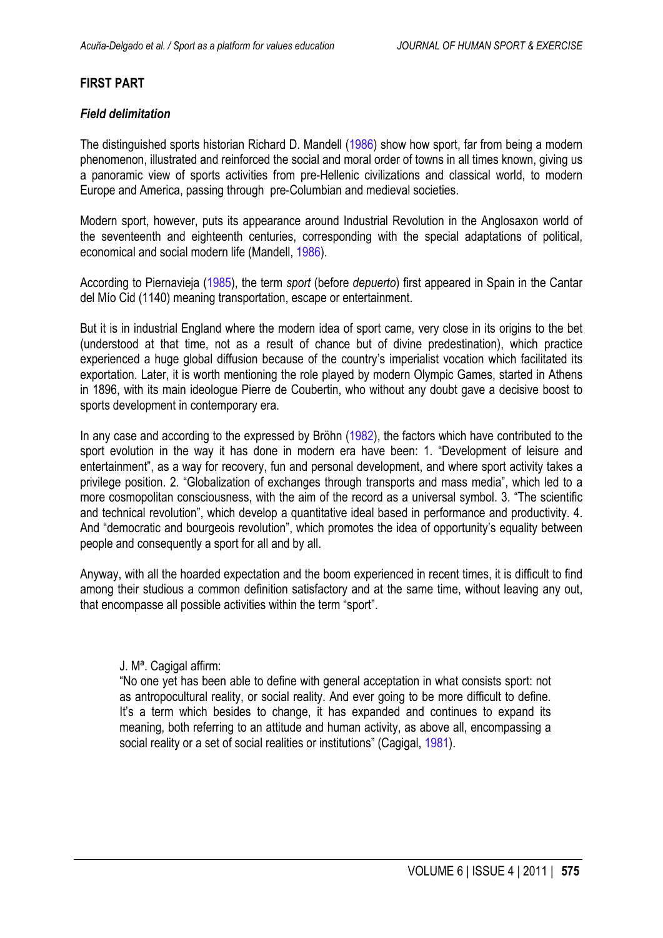# <span id="page-2-0"></span>**FIRST PART**

# *Field delimitation*

The distinguished sports historian Richard D. Mandell ([1986](#page-10-0)) show how sport, far from being a modern phenomenon, illustrated and reinforced the social and moral order of towns in all times known, giving us a panoramic view of sports activities from pre-Hellenic civilizations and classical world, to modern Europe and America, passing through pre-Columbian and medieval societies.

Modern sport, however, puts its appearance around Industrial Revolution in the Anglosaxon world of the seventeenth and eighteenth centuries, corresponding with the special adaptations of political, economical and social modern life (Mandell, [1986](#page-10-0)).

According to Piernavieja ([1985\)](#page-10-0), the term *sport* (before *depuerto*) first appeared in Spain in the Cantar del Mío Cid (1140) meaning transportation, escape or entertainment.

But it is in industrial England where the modern idea of sport came, very close in its origins to the bet (understood at that time, not as a result of chance but of divine predestination), which practice experienced a huge global diffusion because of the country's imperialist vocation which facilitated its exportation. Later, it is worth mentioning the role played by modern Olympic Games, started in Athens in 1896, with its main ideologue Pierre de Coubertin, who without any doubt gave a decisive boost to sports development in contemporary era.

In any case and according to the expressed by Bröhn ([1982\)](#page-10-0), the factors which have contributed to the sport evolution in the way it has done in modern era have been: 1. "Development of leisure and entertainment", as a way for recovery, fun and personal development, and where sport activity takes a privilege position. 2. "Globalization of exchanges through transports and mass media", which led to a more cosmopolitan consciousness, with the aim of the record as a universal symbol. 3. "The scientific and technical revolution", which develop a quantitative ideal based in performance and productivity. 4. And "democratic and bourgeois revolution", which promotes the idea of opportunity's equality between people and consequently a sport for all and by all.

Anyway, with all the hoarded expectation and the boom experienced in recent times, it is difficult to find among their studious a common definition satisfactory and at the same time, without leaving any out, that encompasse all possible activities within the term "sport".

#### J. Mª. Cagigal affirm:

"No one yet has been able to define with general acceptation in what consists sport: not as antropocultural reality, or social reality. And ever going to be more difficult to define. It's a term which besides to change, it has expanded and continues to expand its meaning, both referring to an attitude and human activity, as above all, encompassing a social reality or a set of social realities or institutions" (Cagigal, [1981](#page-10-0)).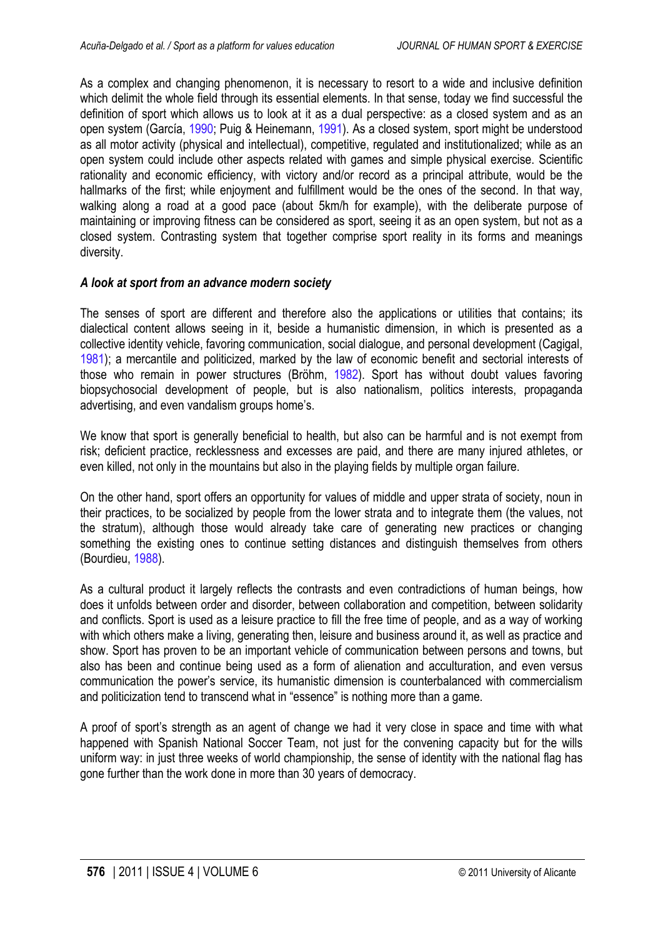<span id="page-3-0"></span>As a complex and changing phenomenon, it is necessary to resort to a wide and inclusive definition which delimit the whole field through its essential elements. In that sense, today we find successful the definition of sport which allows us to look at it as a dual perspective: as a closed system and as an open system (García, [1990;](#page-10-0) Puig & Heinemann, [1991\)](#page-11-0). As a closed system, sport might be understood as all motor activity (physical and intellectual), competitive, regulated and institutionalized; while as an open system could include other aspects related with games and simple physical exercise. Scientific rationality and economic efficiency, with victory and/or record as a principal attribute, would be the hallmarks of the first; while enjoyment and fulfillment would be the ones of the second. In that way, walking along a road at a good pace (about 5km/h for example), with the deliberate purpose of maintaining or improving fitness can be considered as sport, seeing it as an open system, but not as a closed system. Contrasting system that together comprise sport reality in its forms and meanings diversity.

# *A look at sport from an advance modern society*

The senses of sport are different and therefore also the applications or utilities that contains; its dialectical content allows seeing in it, beside a humanistic dimension, in which is presented as a collective identity vehicle, favoring communication, social dialogue, and personal development (Cagigal, [1981\)](#page-10-0); a mercantile and politicized, marked by the law of economic benefit and sectorial interests of those who remain in power structures (Bröhm, [1982\)](#page-10-0). Sport has without doubt values favoring biopsychosocial development of people, but is also nationalism, politics interests, propaganda advertising, and even vandalism groups home's.

We know that sport is generally beneficial to health, but also can be harmful and is not exempt from risk; deficient practice, recklessness and excesses are paid, and there are many injured athletes, or even killed, not only in the mountains but also in the playing fields by multiple organ failure.

On the other hand, sport offers an opportunity for values of middle and upper strata of society, noun in their practices, to be socialized by people from the lower strata and to integrate them (the values, not the stratum), although those would already take care of generating new practices or changing something the existing ones to continue setting distances and distinguish themselves from others (Bourdieu, [1988](#page-10-0)).

As a cultural product it largely reflects the contrasts and even contradictions of human beings, how does it unfolds between order and disorder, between collaboration and competition, between solidarity and conflicts. Sport is used as a leisure practice to fill the free time of people, and as a way of working with which others make a living, generating then, leisure and business around it, as well as practice and show. Sport has proven to be an important vehicle of communication between persons and towns, but also has been and continue being used as a form of alienation and acculturation, and even versus communication the power's service, its humanistic dimension is counterbalanced with commercialism and politicization tend to transcend what in "essence" is nothing more than a game.

A proof of sport's strength as an agent of change we had it very close in space and time with what happened with Spanish National Soccer Team, not just for the convening capacity but for the wills uniform way: in just three weeks of world championship, the sense of identity with the national flag has gone further than the work done in more than 30 years of democracy.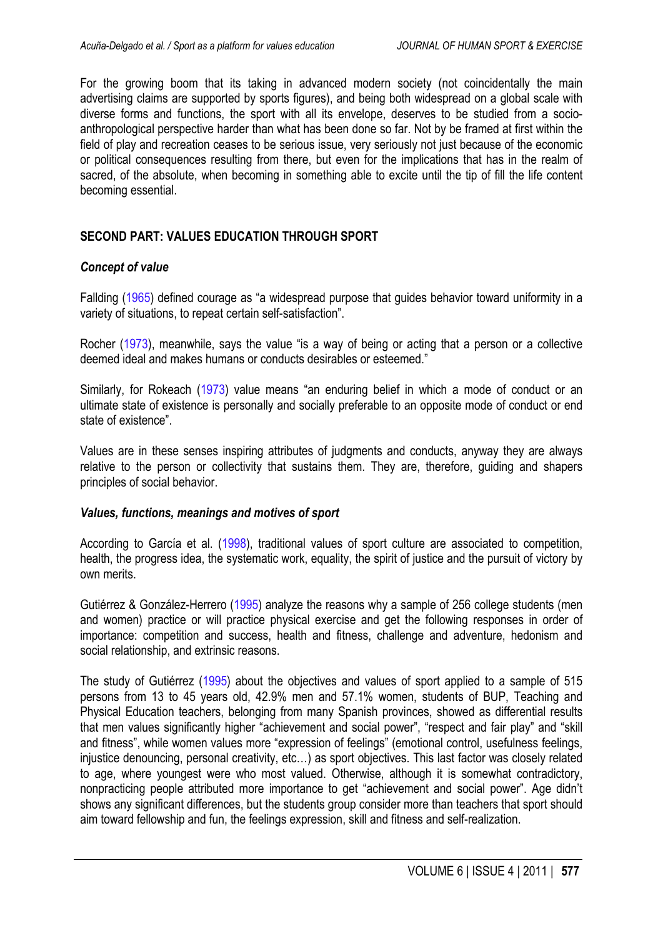<span id="page-4-0"></span>For the growing boom that its taking in advanced modern society (not coincidentally the main advertising claims are supported by sports figures), and being both widespread on a global scale with diverse forms and functions, the sport with all its envelope, deserves to be studied from a socioanthropological perspective harder than what has been done so far. Not by be framed at first within the field of play and recreation ceases to be serious issue, very seriously not just because of the economic or political consequences resulting from there, but even for the implications that has in the realm of sacred, of the absolute, when becoming in something able to excite until the tip of fill the life content becoming essential.

# **SECOND PART: VALUES EDUCATION THROUGH SPORT**

#### *Concept of value*

Fallding [\(1965](#page-10-0)) defined courage as "a widespread purpose that guides behavior toward uniformity in a variety of situations, to repeat certain self-satisfaction".

Rocher [\(1973\)](#page-11-0), meanwhile, says the value "is a way of being or acting that a person or a collective deemed ideal and makes humans or conducts desirables or esteemed."

Similarly, for Rokeach [\(1973](#page-10-0)) value means "an enduring belief in which a mode of conduct or an ultimate state of existence is personally and socially preferable to an opposite mode of conduct or end state of existence".

Values are in these senses inspiring attributes of judgments and conducts, anyway they are always relative to the person or collectivity that sustains them. They are, therefore, guiding and shapers principles of social behavior.

#### *Values, functions, meanings and motives of sport*

According to García et al. [\(1998](#page-10-0)), traditional values of sport culture are associated to competition, health, the progress idea, the systematic work, equality, the spirit of justice and the pursuit of victory by own merits.

Gutiérrez & González-Herrero [\(1995\)](#page-10-0) analyze the reasons why a sample of 256 college students (men and women) practice or will practice physical exercise and get the following responses in order of importance: competition and success, health and fitness, challenge and adventure, hedonism and social relationship, and extrinsic reasons.

The study of Gutiérrez [\(1995\)](#page-10-0) about the objectives and values of sport applied to a sample of 515 persons from 13 to 45 years old, 42.9% men and 57.1% women, students of BUP, Teaching and Physical Education teachers, belonging from many Spanish provinces, showed as differential results that men values significantly higher "achievement and social power", "respect and fair play" and "skill and fitness", while women values more "expression of feelings" (emotional control, usefulness feelings, injustice denouncing, personal creativity, etc…) as sport objectives. This last factor was closely related to age, where youngest were who most valued. Otherwise, although it is somewhat contradictory, nonpracticing people attributed more importance to get "achievement and social power". Age didn't shows any significant differences, but the students group consider more than teachers that sport should aim toward fellowship and fun, the feelings expression, skill and fitness and self-realization.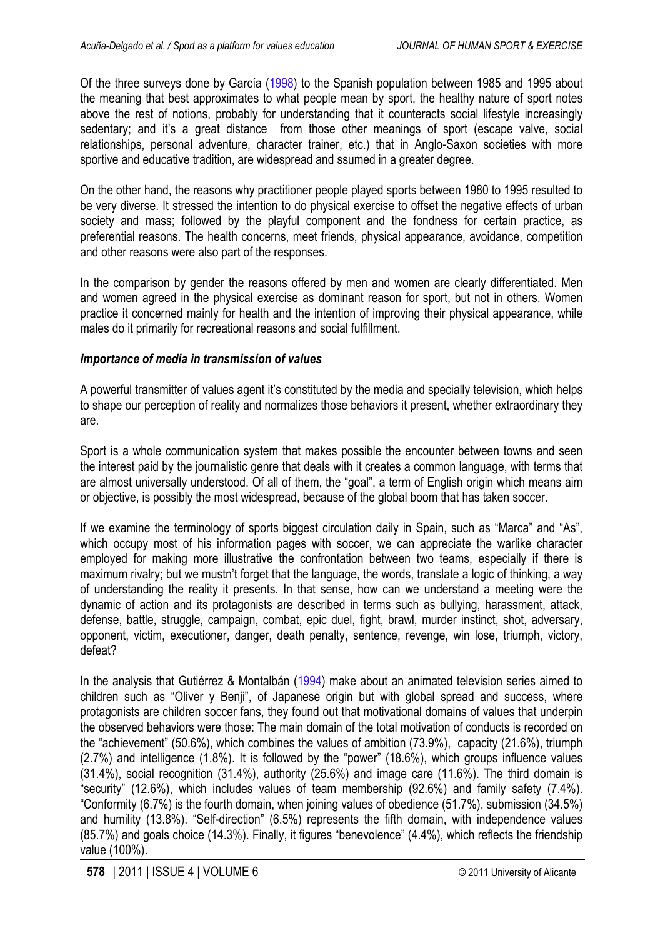<span id="page-5-0"></span>Of the three surveys done by García ([1998\)](#page-10-0) to the Spanish population between 1985 and 1995 about the meaning that best approximates to what people mean by sport, the healthy nature of sport notes above the rest of notions, probably for understanding that it counteracts social lifestyle increasingly sedentary; and it's a great distance from those other meanings of sport (escape valve, social relationships, personal adventure, character trainer, etc.) that in Anglo-Saxon societies with more sportive and educative tradition, are widespread and ssumed in a greater degree.

On the other hand, the reasons why practitioner people played sports between 1980 to 1995 resulted to be very diverse. It stressed the intention to do physical exercise to offset the negative effects of urban society and mass; followed by the playful component and the fondness for certain practice, as preferential reasons. The health concerns, meet friends, physical appearance, avoidance, competition and other reasons were also part of the responses.

In the comparison by gender the reasons offered by men and women are clearly differentiated. Men and women agreed in the physical exercise as dominant reason for sport, but not in others. Women practice it concerned mainly for health and the intention of improving their physical appearance, while males do it primarily for recreational reasons and social fulfillment.

# *Importance of media in transmission of values*

A powerful transmitter of values agent it's constituted by the media and specially television, which helps to shape our perception of reality and normalizes those behaviors it present, whether extraordinary they are.

Sport is a whole communication system that makes possible the encounter between towns and seen the interest paid by the journalistic genre that deals with it creates a common language, with terms that are almost universally understood. Of all of them, the "goal", a term of English origin which means aim or objective, is possibly the most widespread, because of the global boom that has taken soccer.

If we examine the terminology of sports biggest circulation daily in Spain, such as "Marca" and "As", which occupy most of his information pages with soccer, we can appreciate the warlike character employed for making more illustrative the confrontation between two teams, especially if there is maximum rivalry; but we mustn't forget that the language, the words, translate a logic of thinking, a way of understanding the reality it presents. In that sense, how can we understand a meeting were the dynamic of action and its protagonists are described in terms such as bullying, harassment, attack, defense, battle, struggle, campaign, combat, epic duel, fight, brawl, murder instinct, shot, adversary, opponent, victim, executioner, danger, death penalty, sentence, revenge, win lose, triumph, victory, defeat?

In the analysis that Gutiérrez & Montalbán [\(1994](#page-10-0)) make about an animated television series aimed to children such as "Oliver y Benji", of Japanese origin but with global spread and success, where protagonists are children soccer fans, they found out that motivational domains of values that underpin the observed behaviors were those: The main domain of the total motivation of conducts is recorded on the "achievement" (50.6%), which combines the values of ambition (73.9%), capacity (21.6%), triumph (2.7%) and intelligence (1.8%). It is followed by the "power" (18.6%), which groups influence values (31.4%), social recognition (31.4%), authority (25.6%) and image care (11.6%). The third domain is "security" (12.6%), which includes values of team membership (92.6%) and family safety (7.4%). "Conformity (6.7%) is the fourth domain, when joining values of obedience (51.7%), submission (34.5%) and humility (13.8%). "Self-direction" (6.5%) represents the fifth domain, with independence values (85.7%) and goals choice (14.3%). Finally, it figures "benevolence" (4.4%), which reflects the friendship value (100%).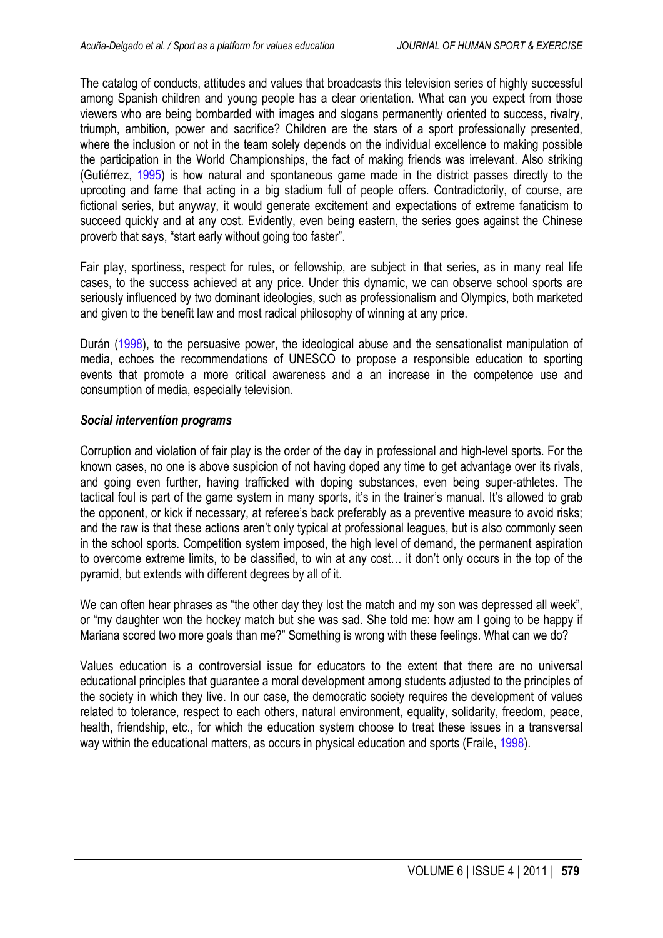<span id="page-6-0"></span>The catalog of conducts, attitudes and values that broadcasts this television series of highly successful among Spanish children and young people has a clear orientation. What can you expect from those viewers who are being bombarded with images and slogans permanently oriented to success, rivalry, triumph, ambition, power and sacrifice? Children are the stars of a sport professionally presented, where the inclusion or not in the team solely depends on the individual excellence to making possible the participation in the World Championships, the fact of making friends was irrelevant. Also striking (Gutiérrez, [1995\)](#page-10-0) is how natural and spontaneous game made in the district passes directly to the uprooting and fame that acting in a big stadium full of people offers. Contradictorily, of course, are fictional series, but anyway, it would generate excitement and expectations of extreme fanaticism to succeed quickly and at any cost. Evidently, even being eastern, the series goes against the Chinese proverb that says, "start early without going too faster".

Fair play, sportiness, respect for rules, or fellowship, are subject in that series, as in many real life cases, to the success achieved at any price. Under this dynamic, we can observe school sports are seriously influenced by two dominant ideologies, such as professionalism and Olympics, both marketed and given to the benefit law and most radical philosophy of winning at any price.

Durán [\(1998](#page-10-0)), to the persuasive power, the ideological abuse and the sensationalist manipulation of media, echoes the recommendations of UNESCO to propose a responsible education to sporting events that promote a more critical awareness and a an increase in the competence use and consumption of media, especially television.

# *Social intervention programs*

Corruption and violation of fair play is the order of the day in professional and high-level sports. For the known cases, no one is above suspicion of not having doped any time to get advantage over its rivals, and going even further, having trafficked with doping substances, even being super-athletes. The tactical foul is part of the game system in many sports, it's in the trainer's manual. It's allowed to grab the opponent, or kick if necessary, at referee's back preferably as a preventive measure to avoid risks; and the raw is that these actions aren't only typical at professional leagues, but is also commonly seen in the school sports. Competition system imposed, the high level of demand, the permanent aspiration to overcome extreme limits, to be classified, to win at any cost… it don't only occurs in the top of the pyramid, but extends with different degrees by all of it.

We can often hear phrases as "the other day they lost the match and my son was depressed all week", or "my daughter won the hockey match but she was sad. She told me: how am I going to be happy if Mariana scored two more goals than me?" Something is wrong with these feelings. What can we do?

Values education is a controversial issue for educators to the extent that there are no universal educational principles that guarantee a moral development among students adjusted to the principles of the society in which they live. In our case, the democratic society requires the development of values related to tolerance, respect to each others, natural environment, equality, solidarity, freedom, peace, health, friendship, etc., for which the education system choose to treat these issues in a transversal way within the educational matters, as occurs in physical education and sports (Fraile, [1998\)](#page-10-0).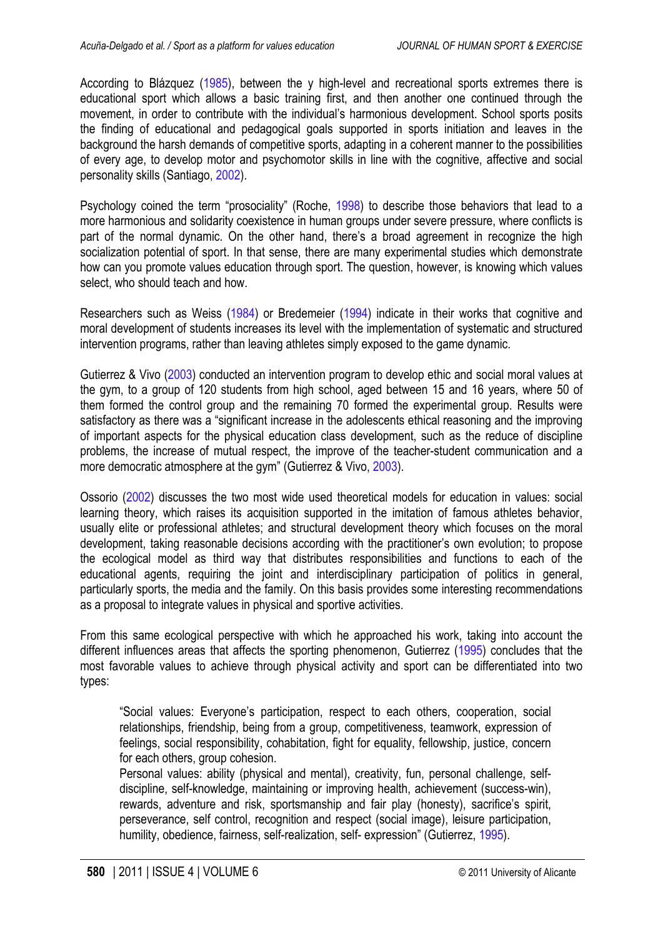<span id="page-7-0"></span>According to Blázquez ([1985\)](#page-10-0), between the y high-level and recreational sports extremes there is educational sport which allows a basic training first, and then another one continued through the movement, in order to contribute with the individual's harmonious development. School sports posits the finding of educational and pedagogical goals supported in sports initiation and leaves in the background the harsh demands of competitive sports, adapting in a coherent manner to the possibilities of every age, to develop motor and psychomotor skills in line with the cognitive, affective and social personality skills (Santiago, [2002\)](#page-11-0).

Psychology coined the term "prosociality" (Roche, [1998\)](#page-10-0) to describe those behaviors that lead to a more harmonious and solidarity coexistence in human groups under severe pressure, where conflicts is part of the normal dynamic. On the other hand, there's a broad agreement in recognize the high socialization potential of sport. In that sense, there are many experimental studies which demonstrate how can you promote values education through sport. The question, however, is knowing which values select, who should teach and how.

Researchers such as Weiss [\(1984\)](#page-11-0) or Bredemeier ([1994](#page-10-0)) indicate in their works that cognitive and moral development of students increases its level with the implementation of systematic and structured intervention programs, rather than leaving athletes simply exposed to the game dynamic.

Gutierrez & Vivo ([2003\)](#page-10-0) conducted an intervention program to develop ethic and social moral values at the gym, to a group of 120 students from high school, aged between 15 and 16 years, where 50 of them formed the control group and the remaining 70 formed the experimental group. Results were satisfactory as there was a "significant increase in the adolescents ethical reasoning and the improving of important aspects for the physical education class development, such as the reduce of discipline problems, the increase of mutual respect, the improve of the teacher-student communication and a more democratic atmosphere at the gym" (Gutierrez & Vivo, [2003\)](#page-10-0).

Ossorio [\(2002](#page-10-0)) discusses the two most wide used theoretical models for education in values: social learning theory, which raises its acquisition supported in the imitation of famous athletes behavior, usually elite or professional athletes; and structural development theory which focuses on the moral development, taking reasonable decisions according with the practitioner's own evolution; to propose the ecological model as third way that distributes responsibilities and functions to each of the educational agents, requiring the joint and interdisciplinary participation of politics in general, particularly sports, the media and the family. On this basis provides some interesting recommendations as a proposal to integrate values in physical and sportive activities.

From this same ecological perspective with which he approached his work, taking into account the different influences areas that affects the sporting phenomenon, Gutierrez [\(1995](#page-10-0)) concludes that the most favorable values to achieve through physical activity and sport can be differentiated into two types:

"Social values: Everyone's participation, respect to each others, cooperation, social relationships, friendship, being from a group, competitiveness, teamwork, expression of feelings, social responsibility, cohabitation, fight for equality, fellowship, justice, concern for each others, group cohesion.

Personal values: ability (physical and mental), creativity, fun, personal challenge, selfdiscipline, self-knowledge, maintaining or improving health, achievement (success-win), rewards, adventure and risk, sportsmanship and fair play (honesty), sacrifice's spirit, perseverance, self control, recognition and respect (social image), leisure participation, humility, obedience, fairness, self-realization, self- expression" (Gutierrez, [1995](#page-10-0)).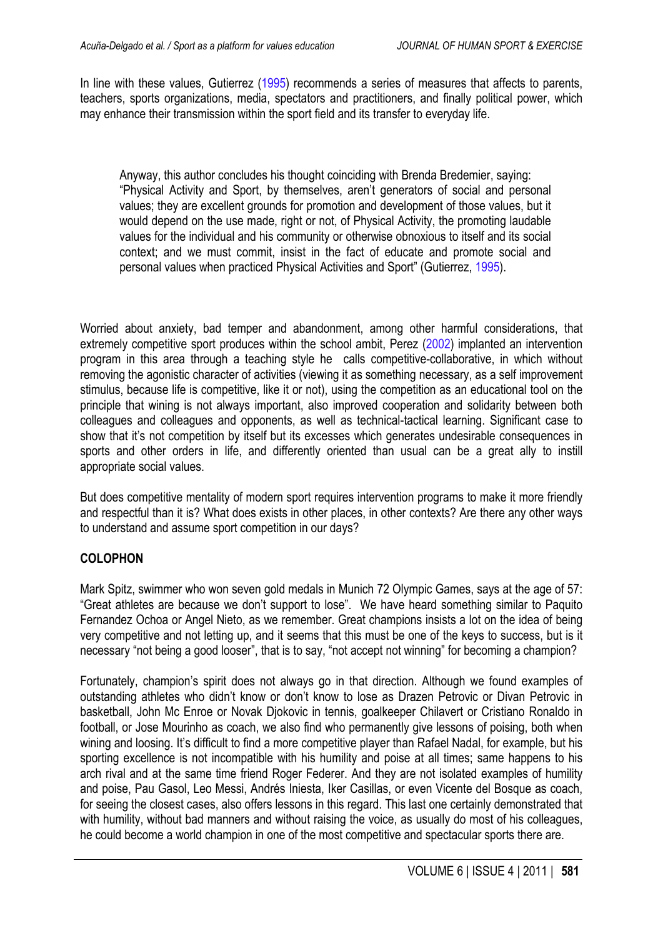<span id="page-8-0"></span>In line with these values, Gutierrez (1995) recommends a series of measures that affects to parents, teachers, sports organizations, media, spectators and practitioners, and finally political power, which may enhance their transmission within the sport field and its transfer to everyday life.

Anyway, this author concludes his thought coinciding with Brenda Bredemier, saying: "Physical Activity and Sport, by themselves, aren't generators of social and personal values; they are excellent grounds for promotion and development of those values, but it would depend on the use made, right or not, of Physical Activity, the promoting laudable values for the individual and his community or otherwise obnoxious to itself and its social context; and we must commit, insist in the fact of educate and promote social and personal values when practiced Physical Activities and Sport" (Gutierrez, 1995).

Worried about anxiety, bad temper and abandonment, among other harmful considerations, that extremely competitive sport produces within the school ambit, Perez ([2002\)](#page-10-0) implanted an intervention program in this area through a teaching style he calls competitive-collaborative, in which without removing the agonistic character of activities (viewing it as something necessary, as a self improvement stimulus, because life is competitive, like it or not), using the competition as an educational tool on the principle that wining is not always important, also improved cooperation and solidarity between both colleagues and colleagues and opponents, as well as technical-tactical learning. Significant case to show that it's not competition by itself but its excesses which generates undesirable consequences in sports and other orders in life, and differently oriented than usual can be a great ally to instill appropriate social values.

But does competitive mentality of modern sport requires intervention programs to make it more friendly and respectful than it is? What does exists in other places, in other contexts? Are there any other ways to understand and assume sport competition in our days?

# **COLOPHON**

Mark Spitz, swimmer who won seven gold medals in Munich 72 Olympic Games, says at the age of 57: "Great athletes are because we don't support to lose". We have heard something similar to Paquito Fernandez Ochoa or Angel Nieto, as we remember. Great champions insists a lot on the idea of being very competitive and not letting up, and it seems that this must be one of the keys to success, but is it necessary "not being a good looser", that is to say, "not accept not winning" for becoming a champion?

Fortunately, champion's spirit does not always go in that direction. Although we found examples of outstanding athletes who didn't know or don't know to lose as Drazen Petrovic or Divan Petrovic in basketball, John Mc Enroe or Novak Djokovic in tennis, goalkeeper Chilavert or Cristiano Ronaldo in football, or Jose Mourinho as coach, we also find who permanently give lessons of poising, both when wining and loosing. It's difficult to find a more competitive player than Rafael Nadal, for example, but his sporting excellence is not incompatible with his humility and poise at all times; same happens to his arch rival and at the same time friend Roger Federer. And they are not isolated examples of humility and poise, Pau Gasol, Leo Messi, Andrés Iniesta, Iker Casillas, or even Vicente del Bosque as coach, for seeing the closest cases, also offers lessons in this regard. This last one certainly demonstrated that with humility, without bad manners and without raising the voice, as usually do most of his colleagues, he could become a world champion in one of the most competitive and spectacular sports there are.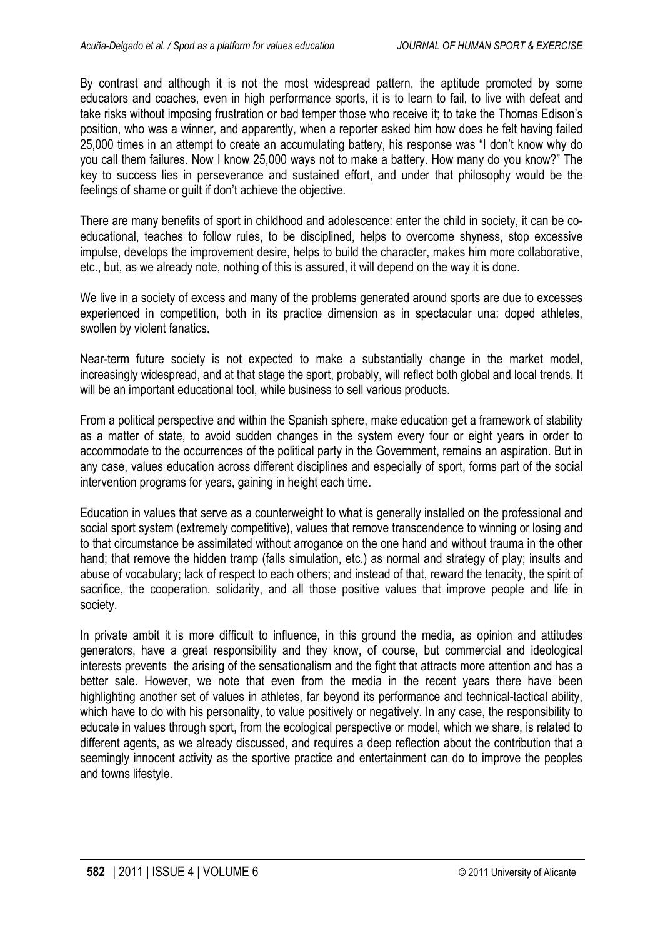By contrast and although it is not the most widespread pattern, the aptitude promoted by some educators and coaches, even in high performance sports, it is to learn to fail, to live with defeat and take risks without imposing frustration or bad temper those who receive it; to take the Thomas Edison's position, who was a winner, and apparently, when a reporter asked him how does he felt having failed 25,000 times in an attempt to create an accumulating battery, his response was "I don't know why do you call them failures. Now I know 25,000 ways not to make a battery. How many do you know?" The key to success lies in perseverance and sustained effort, and under that philosophy would be the feelings of shame or guilt if don't achieve the objective.

There are many benefits of sport in childhood and adolescence: enter the child in society, it can be coeducational, teaches to follow rules, to be disciplined, helps to overcome shyness, stop excessive impulse, develops the improvement desire, helps to build the character, makes him more collaborative, etc., but, as we already note, nothing of this is assured, it will depend on the way it is done.

We live in a society of excess and many of the problems generated around sports are due to excesses experienced in competition, both in its practice dimension as in spectacular una: doped athletes, swollen by violent fanatics.

Near-term future society is not expected to make a substantially change in the market model, increasingly widespread, and at that stage the sport, probably, will reflect both global and local trends. It will be an important educational tool, while business to sell various products.

From a political perspective and within the Spanish sphere, make education get a framework of stability as a matter of state, to avoid sudden changes in the system every four or eight years in order to accommodate to the occurrences of the political party in the Government, remains an aspiration. But in any case, values education across different disciplines and especially of sport, forms part of the social intervention programs for years, gaining in height each time.

Education in values that serve as a counterweight to what is generally installed on the professional and social sport system (extremely competitive), values that remove transcendence to winning or losing and to that circumstance be assimilated without arrogance on the one hand and without trauma in the other hand; that remove the hidden tramp (falls simulation, etc.) as normal and strategy of play; insults and abuse of vocabulary; lack of respect to each others; and instead of that, reward the tenacity, the spirit of sacrifice, the cooperation, solidarity, and all those positive values that improve people and life in society.

In private ambit it is more difficult to influence, in this ground the media, as opinion and attitudes generators, have a great responsibility and they know, of course, but commercial and ideological interests prevents the arising of the sensationalism and the fight that attracts more attention and has a better sale. However, we note that even from the media in the recent years there have been highlighting another set of values in athletes, far beyond its performance and technical-tactical ability, which have to do with his personality, to value positively or negatively. In any case, the responsibility to educate in values through sport, from the ecological perspective or model, which we share, is related to different agents, as we already discussed, and requires a deep reflection about the contribution that a seemingly innocent activity as the sportive practice and entertainment can do to improve the peoples and towns lifestyle.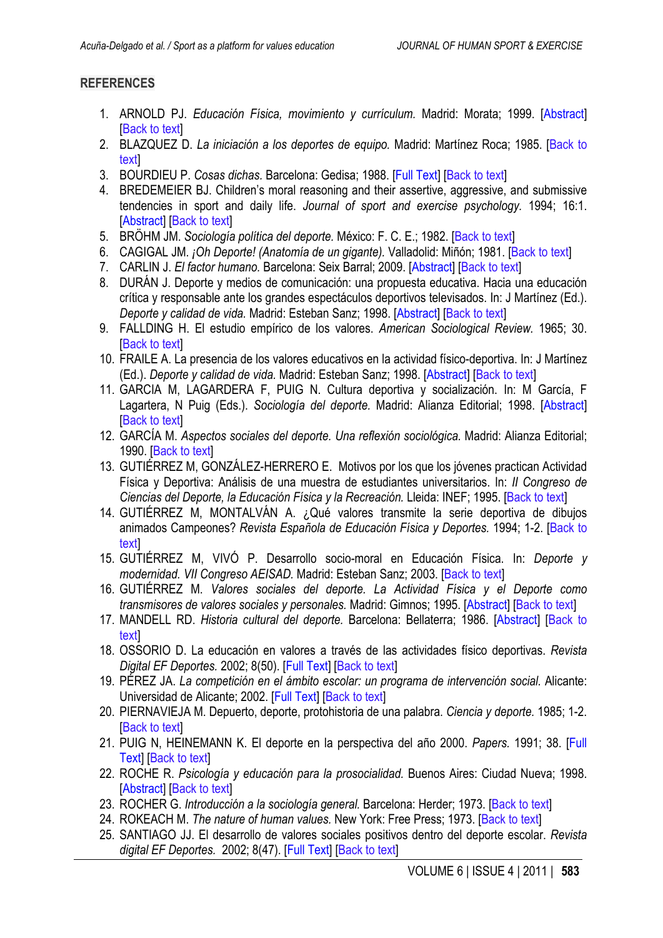# <span id="page-10-0"></span>**REFERENCES**

- 1. ARNOLD PJ. *Educación Física, movimiento y currículum.* Madrid: Morata; 1999. [\[Abstract\]](http://books.google.es/books?id=96-q8MLb_csC&printsec=frontcover&dq=Educaci%C3%B3n+F%C3%ADsica,+movimiento+y+curr%C3%ADculum&hl=es&sa=X&ei=dwD5ToOkJY20hAfUxbjXDQ&ved=0CDMQ6AEwAA#v=onepage&q=Educaci%C3%B3n%20F%C3%ADsica%2C%20movimiento%20y%20curr%C3%ADculum&f=false) **IBack to textl**
- 2. BLAZQUEZ D. *La iniciación a los deportes de equipo.* Madrid: Martínez Roca; 1985. [\[Back to](#page-7-0) [text\]](#page-7-0)
- 3. BOURDIEU P. *Cosas dichas.* Barcelona: Gedisa; 1988. [\[Full Text\]](http://es.scribd.com/doc/39359790/Bourdieu-Pierre-Cosas-Dichas) [\[Back to text\]](#page-3-0)
- 4. BREDEMEIER BJ. Children's moral reasoning and their assertive, aggressive, and submissive tendencies in sport and daily life. *Journal of sport and exercise psychology.* 1994; 16:1. [\[Abstract\]](http://journals.humankinetics.com/jsep-back-issues/jsepvolume16issue1march/childrensmoralreasoningandtheirassertiveaggressiveandsubmissivetendenciesinsportanddailylife) [[Back to text\]](#page-7-0)
- 5. BRÖHM JM. *Sociología política del deporte.* México: F. C. E.; 1982. [\[Back to text\]](#page-2-0)
- 6. CAGIGAL JM. *¡Oh Deporte! (Anatomía de un gigante).* Valladolid: Miñón; 1981. [[Back to text\]](#page-2-0)
- 7. CARLIN J. *El factor humano.* Barcelona: Seix Barral; 2009. [\[Abstract\]](http://books.google.es/books?id=ME5gQwAACAAJ&dq=el+factor+humano+john+carlin&hl=es&sa=X&ei=MgL5TonQHMyChQeq38zFAQ&ved=0CDwQ6AEwAQ) [\[Back to text\]](#page-1-0)
- 8. DURÁN J. Deporte y medios de comunicación: una propuesta educativa. Hacia una educación crítica y responsable ante los grandes espectáculos deportivos televisados. In: J Martínez (Ed.). *Deporte y calidad de vida.* Madrid: Esteban Sanz; 1998. [\[Abstract\]](http://books.google.es/books?id=aMCBzpBxaLEC&pg=PA403&lpg=PA403&dq=Deporte+y+medios+de+comunicaci%C3%B3n:+una+propuesta+educativa.+Hacia+una+educaci%C3%B3n+cr%C3%ADtica+y+responsable+ante+los+grandes+espect%C3%A1culos+deportivos+televisados&source=bl&ots=yu3fJeK8He&sig=ZAfCDdqap-Jtewltm-8Zt61BExI&hl=es&sa=X&ei=UgL5TrvTHNKBhQfRqOTHAQ&ved=0CB8Q6AEwAA#v=onepage&q=Deporte%20y%20medios%20de%20comunicaci%C3%B3n%3A%20una%20propuesta%20educativa.%20Hacia%20una%20educaci%C3%B3n%20cr%C3%ADtica%20y%20responsable%20ante%20los%20grandes%20espect%C3%A1culos%20deportivos%20televisados&f=false) [[Back to text](#page-6-0)]
- 9. FALLDING H. El estudio empírico de los valores. *American Sociological Review.* 1965; 30. [\[Back to text\]](#page-4-0)
- 10. FRAILE A. La presencia de los valores educativos en la actividad físico-deportiva. In: J Martínez (Ed.). *Deporte y calidad de vida.* Madrid: Esteban Sanz; 1998. [\[Abstract\]](http://books.google.es/books?id=aMCBzpBxaLEC&pg=PA379&dq=La+presencia+de+los+valores+educativos+en+la+actividad+f%C3%ADsico-deportiva&hl=es&sa=X&ei=9AL5Tq_ND9CZhQeoyrmkAQ&ved=0CC8Q6AEwAA#v=onepage&q=La%20presencia%20de%20los%20valores%20educativos%20en%20la%20actividad%20f%C3%ADsico-deportiva&f=false) [\[Back to text](#page-6-0)]
- 11. GARCIA M, LAGARDERA F, PUIG N. Cultura deportiva y socialización. In: M García, F Lagartera, N Puig (Eds.). *Sociología del deporte.* Madrid: Alianza Editorial; 1998. [\[Abstract\]](http://dialnet.unirioja.es/servlet/libro?codigo=293436) [\[Back to text\]](#page-4-0)
- 12. GARCÍA M. *Aspectos sociales del deporte. Una reflexión sociológica.* Madrid: Alianza Editorial; 1990. [[Back to text\]](#page-3-0)
- 13. GUTIÉRREZ M, GONZÁLEZ-HERRERO E. Motivos por los que los jóvenes practican Actividad Física y Deportiva: Análisis de una muestra de estudiantes universitarios. In: *II Congreso de Ciencias del Deporte, la Educación Física y la Recreación.* Lleida: INEF; 1995. [\[Back to text\]](#page-4-0)
- 14. GUTIÉRREZ M, MONTALVÁN A. ¿Qué valores transmite la serie deportiva de dibujos animados Campeones? *Revista Española de Educación Física y Deportes.* 1994; 1-2. [\[Back to](#page-5-0) **text**
- 15. GUTIÉRREZ M, VIVÓ P. Desarrollo socio-moral en Educación Física. In: *Deporte y modernidad. VII Congreso AEISAD.* Madrid: Esteban Sanz; 2003. [\[Back to text\]](#page-7-0)
- 16. GUTIÉRREZ M. *Valores sociales del deporte. La Actividad Física y el Deporte como transmisores de valores sociales y personales.* Madrid: Gimnos; 1995. [\[Abstract\]](http://www.libreriadeportiva.com/L4751-valores-sociales-y-deporte-la-actividad-fisica-como-transmisor-de-.html) [[Back to text](#page-4-0)]
- 17. MANDELL RD. *Historia cultural del deporte.* Barcelona: Bellaterra; 1986. [\[Abstract\]](http://www.ed-bellaterra.com/php/llibresInfo.php?idLlibre=150) [\[Back to](#page-2-0) [text\]](#page-2-0)
- 18. OSSORIO D. La educación en valores a través de las actividades físico deportivas. *Revista Digital EF Deportes.* 2002; 8(50). [\[Full Text\]](http://www.efdeportes.com/efd50/valores.htm) [[Back to text](#page-7-0)]
- 19. PÉREZ JA. *La competición en el ámbito escolar: un programa de intervención social.* Alicante: Universidad de Alicante; 2002. [\[Full Text\]](http://www.cervantesvirtual.com/obra/la-competicion-en-el-ambito-escolar-un-programa-de-intervencion-social--0/) [\[Back to text\]](#page-8-0)
- 20. PIERNAVIEJA M. Depuerto, deporte, protohistoria de una palabra. *Ciencia y deporte.* 1985; 1-2. [\[Back to text\]](#page-2-0)
- 21. PUIG N, HEINEMANN K. El deporte en la perspectiva del año 2000. *Papers.* 1991; 38. [\[Full](http://ddd.uab.cat/pub/papers/02102862n38/02102862n38p123.pdf)  [Text\]](http://ddd.uab.cat/pub/papers/02102862n38/02102862n38p123.pdf) [[Back to text](#page-3-0)]
- 22. ROCHE R. *Psicología y educación para la prosocialidad.* Buenos Aires: Ciudad Nueva; 1998. [\[Abstract\]](http://www.ciudadnueva.org.ar/colecciones-de-libros/pedagogia-y-educacion/psicologia-y-educacion-para-la-prosocialidad) [[Back to text\]](#page-7-0)
- 23. ROCHER G. *Introducción a la sociología general.* Barcelona: Herder; 1973. [[Back to text](#page-4-0)]
- 24. ROKEACH M. *The nature of human values.* New York: Free Press; 1973. [\[Back to text\]](#page-4-0)
- 25. SANTIAGO JJ. El desarrollo de valores sociales positivos dentro del deporte escolar. *Revista digital EF Deportes.* 2002; 8(47). [\[Full Text\]](http://www.efdeportes.com/efd47/valores.htm) [[Back to text](#page-7-0)]